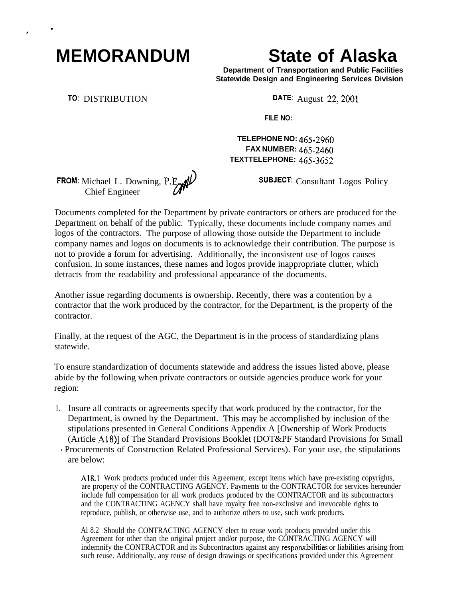## **MEMORANDUM State of Alaska**

**Department of Transportation and Public Facilities Statewide Design and Engineering Services Division**

. <sup>~</sup>

TO: DISTRIBUTION DATE: August 22, 2001

**FILE NO:**

**TELEPHONE NO: 465-2960 FAX NUMBER: 465-24fjO TEXTTELEPHONE: 465-3652**

SUBJECT: Consultant Logos Policy

Documents completed for the Department by private contractors or others are produced for the Department on behalf of the public. Typically, these documents include company names and logos of the contractors. The purpose of allowing those outside the Department to include company names and logos on documents is to acknowledge their contribution. The purpose is not to provide a forum for advertising. Additionally, the inconsistent use of logos causes confusion. In some instances, these names and logos provide inappropriate clutter, which detracts from the readability and professional appearance of the documents.

Another issue regarding documents is ownership. Recently, there was a contention by a contractor that the work produced by the contractor, for the Department, is the property of the contractor.

Finally, at the request of the AGC, the Department is in the process of standardizing plans statewide.

To ensure standardization of documents statewide and address the issues listed above, please abide by the following when private contractors or outside agencies produce work for your region:

- 1. Insure all contracts or agreements specify that work produced by the contractor, for the Department, is owned by the Department. This may be accomplished by inclusion of the stipulations presented in General Conditions Appendix A [Ownership of Work Products (Article A18)] of The Standard Provisions Booklet (DOT&PF Standard Provisions for Small '. Procurements of Construction Related Professional Services). For your use, the stipulations
	- are below:

Al&l Work products produced under this Agreement, except items which have pre-existing copyrights, are property of the CONTRACTING AGENCY. Payments to the CONTRACTOR for services hereunder include full compensation for all work products produced by the CONTRACTOR and its subcontractors and the CONTRACTING AGENCY shall have royalty free non-exclusive and irrevocable rights to reproduce, publish, or otherwise use, and to authorize others to use, such work products.

Al 8.2 Should the CONTRACTING AGENCY elect to reuse work products provided under this Agreement for other than the original project and/or purpose, the CÔNTRACTING AGENCY will indemnify the CONTRACTOR and its Subcontractors against any responsibilities or liabilities arising from such reuse. Additionally, any reuse of design drawings or specifications provided under this Agreement

**FROM:** Michael L. Downing,  $P.E$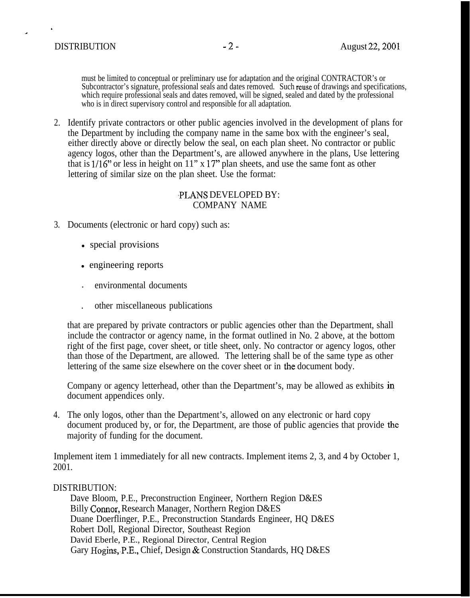must be limited to conceptual or preliminary use for adaptation and the original CONTRACTOR's or Subcontractor's signature, professional seals and dates removed. Such reuse of drawings and specifications, which require professional seals and dates removed, will be signed, sealed and dated by the professional who is in direct supervisory control and responsible for all adaptation.

2. Identify private contractors or other public agencies involved in the development of plans for the Department by including the company name in the same box with the engineer's seal, either directly above or directly below the seal, on each plan sheet. No contractor or public agency logos, other than the Department's, are allowed anywhere in the plans, Use lettering that is  $1/16$ " or less in height on  $11$ " x  $17$ " plan sheets, and use the same font as other lettering of similar size on the plan sheet. Use the format:

## ,PLANS DEVELOPED BY: COMPANY NAME

- 3. Documents (electronic or hard copy) such as:
	- special provisions
	- engineering reports
	- . environmental documents
	- . other miscellaneous publications

that are prepared by private contractors or public agencies other than the Department, shall include the contractor or agency name, in the format outlined in No. 2 above, at the bottom right of the first page, cover sheet, or title sheet, only. No contractor or agency logos, other than those of the Department, are allowed. The lettering shall be of the same type as other lettering of the same size elsewhere on the cover sheet or in the document body.

Company or agency letterhead, other than the Department's, may be allowed as exhibits in document appendices only.

4. The only logos, other than the Department's, allowed on any electronic or hard copy document produced by, or for, the Department, are those of public agencies that provide the majority of funding for the document.

Implement item 1 immediately for all new contracts. Implement items 2, 3, and 4 by October 1, 2001.

## DISTRIBUTION:

Dave Bloom, P.E., Preconstruction Engineer, Northern Region D&ES Billy Connor, Research Manager, Northern Region D&ES Duane Doerflinger, P.E., Preconstruction Standards Engineer, HQ D&ES Robert Doll, Regional Director, Southeast Region David Eberle, P.E., Regional Director, Central Region Gary Hogins, P.E., Chief, Design & Construction Standards, HQ D&ES